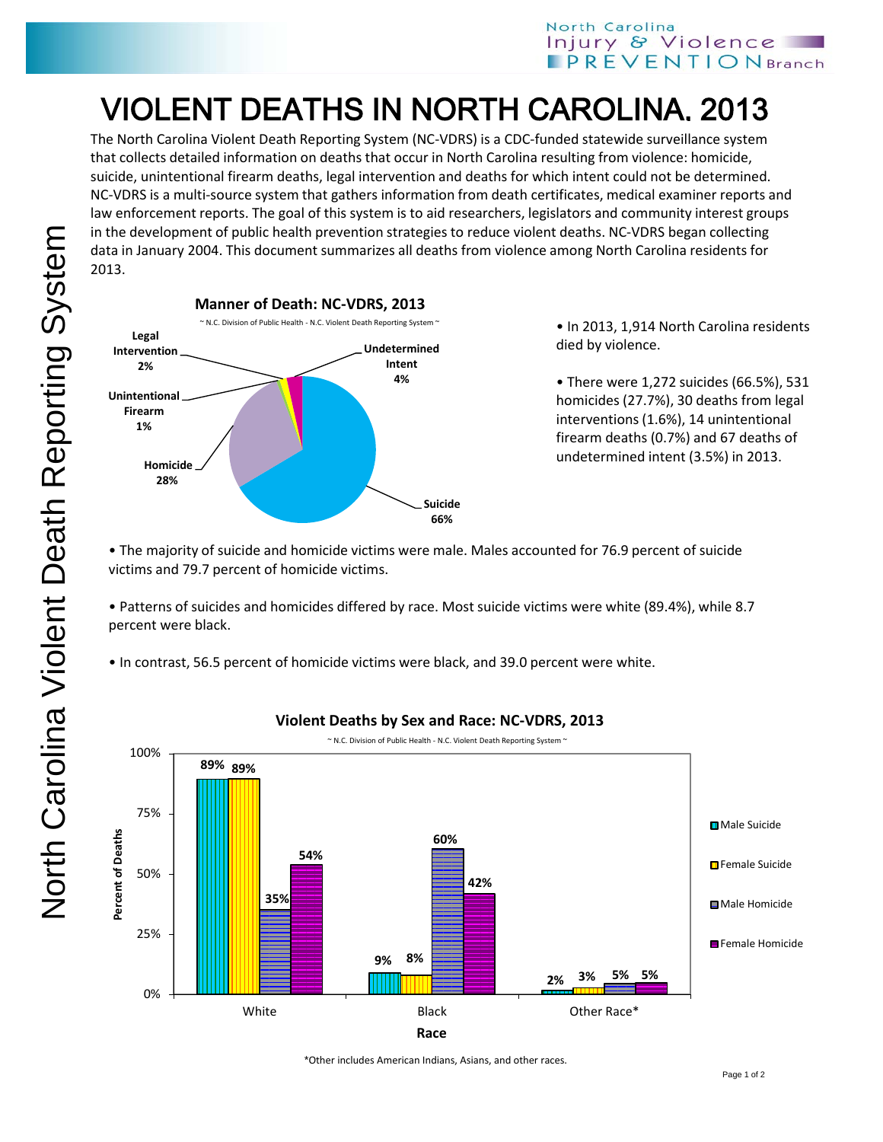## VIOLENT DEATHS IN NORTH CAROLINA, 2013

The North Carolina Violent Death Reporting System (NC-VDRS) is a CDC-funded statewide surveillance system that collects detailed information on deaths that occur in North Carolina resulting from violence: homicide, suicide, unintentional firearm deaths, legal intervention and deaths for which intent could not be determined. NC-VDRS is a multi-source system that gathers information from death certificates, medical examiner reports and law enforcement reports. The goal of this system is to aid researchers, legislators and community interest groups in the development of public health prevention strategies to reduce violent deaths. NC-VDRS began collecting data in January 2004. This document summarizes all deaths from violence among North Carolina residents for 2013.



• In 2013, 1,914 North Carolina residents died by violence.

• There were 1,272 suicides (66.5%), 531 homicides (27.7%), 30 deaths from legal interventions (1.6%), 14 unintentional firearm deaths (0.7%) and 67 deaths of undetermined intent (3.5%) in 2013.

• The majority of suicide and homicide victims were male. Males accounted for 76.9 percent of suicide victims and 79.7 percent of homicide victims.

• Patterns of suicides and homicides differed by race. Most suicide victims were white (89.4%), while 8.7 percent were black.

• In contrast, 56.5 percent of homicide victims were black, and 39.0 percent were white.



## **Violent Deaths by Sex and Race: NC-VDRS, 2013**

\*Other includes American Indians, Asians, and other races.